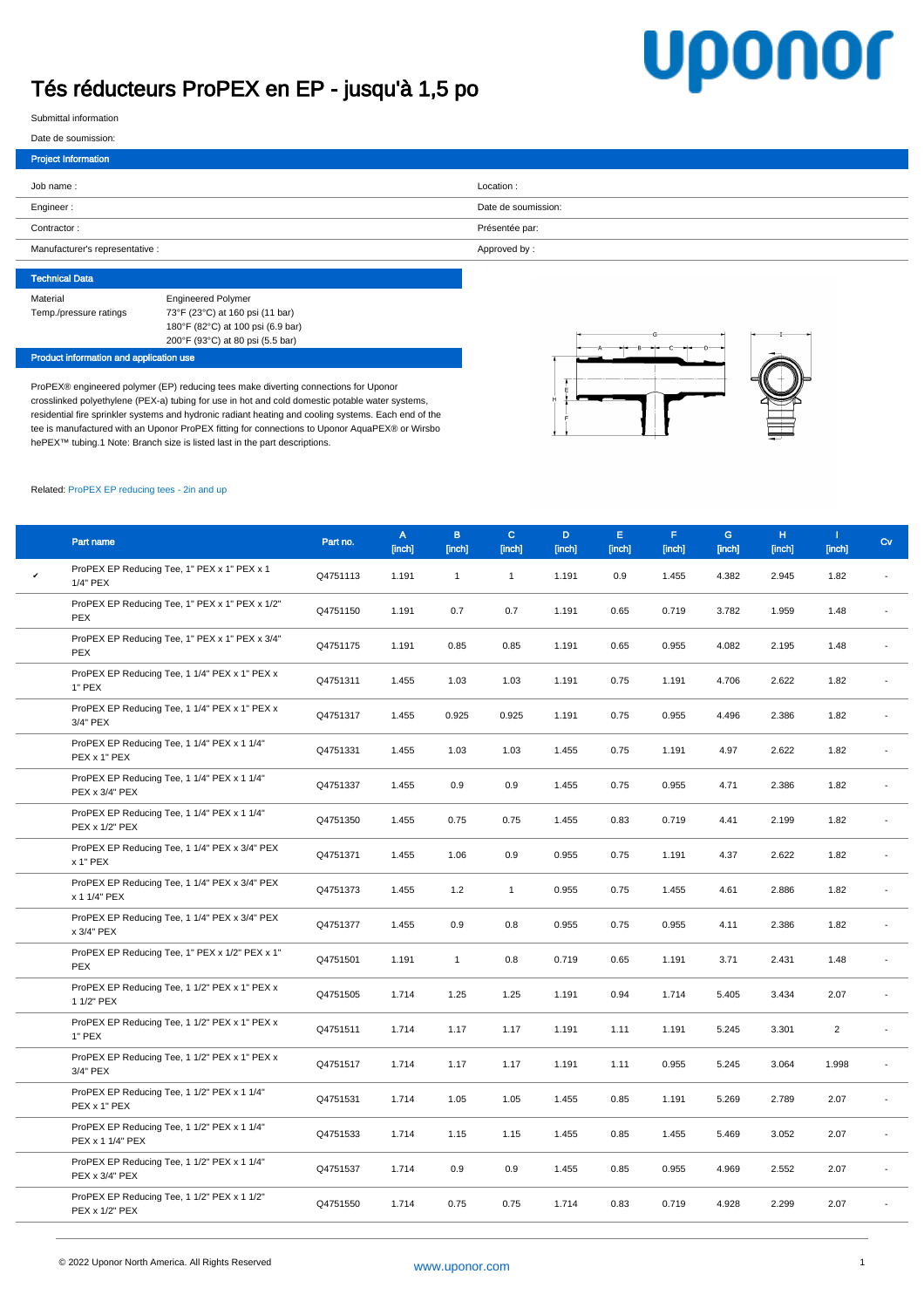## Tés réducteurs ProPEX en EP - jusqu'à 1,5 po

## **Uponor**

Submittal information

h.

| Date de soumission:             |                     |
|---------------------------------|---------------------|
| <b>Project Information</b>      |                     |
| Job name:                       | Location:           |
|                                 |                     |
| Engineer:                       | Date de soumission: |
| Contractor:                     | Présentée par:      |
| Manufacturer's representative : | Approved by:        |
|                                 |                     |

| <b>Technical Data</b>  |                                   |
|------------------------|-----------------------------------|
| Material               | <b>Engineered Polymer</b>         |
| Temp./pressure ratings | 73°F (23°C) at 160 psi (11 bar)   |
|                        | 180°F (82°C) at 100 psi (6.9 bar) |
|                        | 200°F (93°C) at 80 psi (5.5 bar)  |

Product information and application use

ProPEX® engineered polymer (EP) reducing tees make diverting connections for Uponor crosslinked polyethylene (PEX-a) tubing for use in hot and cold domestic potable water systems, residential fire sprinkler systems and hydronic radiant heating and cooling systems. Each end of the tee is manufactured with an Uponor ProPEX fitting for connections to Uponor AquaPEX® or Wirsbo hePEX™ tubing.1 Note: Branch size is listed last in the part descriptions.



## Related: [ProPEX EP reducing tees - 2in and up](~/link.aspx?_id=B94B28DCFE014047ACAB3170BAB640CD&_z=z)

|              | Part name                                                       | Part no. | A<br>[inch] | B.<br>[inch] | $\mathbf{C}$<br>[inch] | D.<br>[inch] | E.<br>[inch] | F.<br>[inch] | G<br>[inch] | H<br>[inch] | T.<br>[inch]   | Cv                       |
|--------------|-----------------------------------------------------------------|----------|-------------|--------------|------------------------|--------------|--------------|--------------|-------------|-------------|----------------|--------------------------|
| $\checkmark$ | ProPEX EP Reducing Tee, 1" PEX x 1" PEX x 1<br>1/4" PEX         | Q4751113 | 1.191       | $\mathbf{1}$ | $\mathbf{1}$           | 1.191        | 0.9          | 1.455        | 4.382       | 2.945       | 1.82           |                          |
|              | ProPEX EP Reducing Tee, 1" PEX x 1" PEX x 1/2"<br>PEX           | Q4751150 | 1.191       | 0.7          | 0.7                    | 1.191        | 0.65         | 0.719        | 3.782       | 1.959       | 1.48           |                          |
|              | ProPEX EP Reducing Tee, 1" PEX x 1" PEX x 3/4"<br><b>PEX</b>    | Q4751175 | 1.191       | 0.85         | 0.85                   | 1.191        | 0.65         | 0.955        | 4.082       | 2.195       | 1.48           |                          |
|              | ProPEX EP Reducing Tee, 1 1/4" PEX x 1" PEX x<br>1" PEX         | Q4751311 | 1.455       | 1.03         | 1.03                   | 1.191        | 0.75         | 1.191        | 4.706       | 2.622       | 1.82           |                          |
|              | ProPEX EP Reducing Tee, 1 1/4" PEX x 1" PEX x<br>3/4" PEX       | Q4751317 | 1.455       | 0.925        | 0.925                  | 1.191        | 0.75         | 0.955        | 4.496       | 2.386       | 1.82           |                          |
|              | ProPEX EP Reducing Tee, 1 1/4" PEX x 1 1/4"<br>PEX x 1" PEX     | Q4751331 | 1.455       | 1.03         | 1.03                   | 1.455        | 0.75         | 1.191        | 4.97        | 2.622       | 1.82           |                          |
|              | ProPEX EP Reducing Tee, 1 1/4" PEX x 1 1/4"<br>PEX x 3/4" PEX   | Q4751337 | 1.455       | 0.9          | 0.9                    | 1.455        | 0.75         | 0.955        | 4.71        | 2.386       | 1.82           |                          |
|              | ProPEX EP Reducing Tee, 1 1/4" PEX x 1 1/4"<br>PEX x 1/2" PEX   | Q4751350 | 1.455       | 0.75         | 0.75                   | 1.455        | 0.83         | 0.719        | 4.41        | 2.199       | 1.82           | $\overline{\phantom{a}}$ |
|              | ProPEX EP Reducing Tee, 1 1/4" PEX x 3/4" PEX<br>x 1" PEX       | Q4751371 | 1.455       | 1.06         | 0.9                    | 0.955        | 0.75         | 1.191        | 4.37        | 2.622       | 1.82           |                          |
|              | ProPEX EP Reducing Tee, 1 1/4" PEX x 3/4" PEX<br>x 1 1/4" PEX   | Q4751373 | 1.455       | 1.2          | $\mathbf{1}$           | 0.955        | 0.75         | 1.455        | 4.61        | 2.886       | 1.82           |                          |
|              | ProPEX EP Reducing Tee, 1 1/4" PEX x 3/4" PEX<br>x 3/4" PEX     | Q4751377 | 1.455       | 0.9          | 0.8                    | 0.955        | 0.75         | 0.955        | 4.11        | 2.386       | 1.82           |                          |
|              | ProPEX EP Reducing Tee, 1" PEX x 1/2" PEX x 1"<br><b>PEX</b>    | Q4751501 | 1.191       | $\mathbf{1}$ | 0.8                    | 0.719        | 0.65         | 1.191        | 3.71        | 2.431       | 1.48           | $\overline{\phantom{a}}$ |
|              | ProPEX EP Reducing Tee, 1 1/2" PEX x 1" PEX x<br>1 1/2" PEX     | Q4751505 | 1.714       | 1.25         | 1.25                   | 1.191        | 0.94         | 1.714        | 5.405       | 3.434       | 2.07           | $\overline{\phantom{a}}$ |
|              | ProPEX EP Reducing Tee, 1 1/2" PEX x 1" PEX x<br>1" PEX         | Q4751511 | 1.714       | 1.17         | 1.17                   | 1.191        | 1.11         | 1.191        | 5.245       | 3.301       | $\overline{2}$ |                          |
|              | ProPEX EP Reducing Tee, 1 1/2" PEX x 1" PEX x<br>3/4" PEX       | Q4751517 | 1.714       | 1.17         | 1.17                   | 1.191        | 1.11         | 0.955        | 5.245       | 3.064       | 1.998          |                          |
|              | ProPEX EP Reducing Tee, 1 1/2" PEX x 1 1/4"<br>PEX x 1" PEX     | Q4751531 | 1.714       | 1.05         | 1.05                   | 1.455        | 0.85         | 1.191        | 5.269       | 2.789       | 2.07           |                          |
|              | ProPEX EP Reducing Tee, 1 1/2" PEX x 1 1/4"<br>PEX x 1 1/4" PEX | Q4751533 | 1.714       | 1.15         | 1.15                   | 1.455        | 0.85         | 1.455        | 5.469       | 3.052       | 2.07           |                          |
|              | ProPEX EP Reducing Tee, 1 1/2" PEX x 1 1/4"<br>PEX x 3/4" PEX   | Q4751537 | 1.714       | 0.9          | 0.9                    | 1.455        | 0.85         | 0.955        | 4.969       | 2.552       | 2.07           |                          |
|              | ProPEX EP Reducing Tee, 1 1/2" PEX x 1 1/2"<br>PEX x 1/2" PEX   | Q4751550 | 1.714       | 0.75         | 0.75                   | 1.714        | 0.83         | 0.719        | 4.928       | 2.299       | 2.07           |                          |
|              |                                                                 |          |             |              |                        |              |              |              |             |             |                |                          |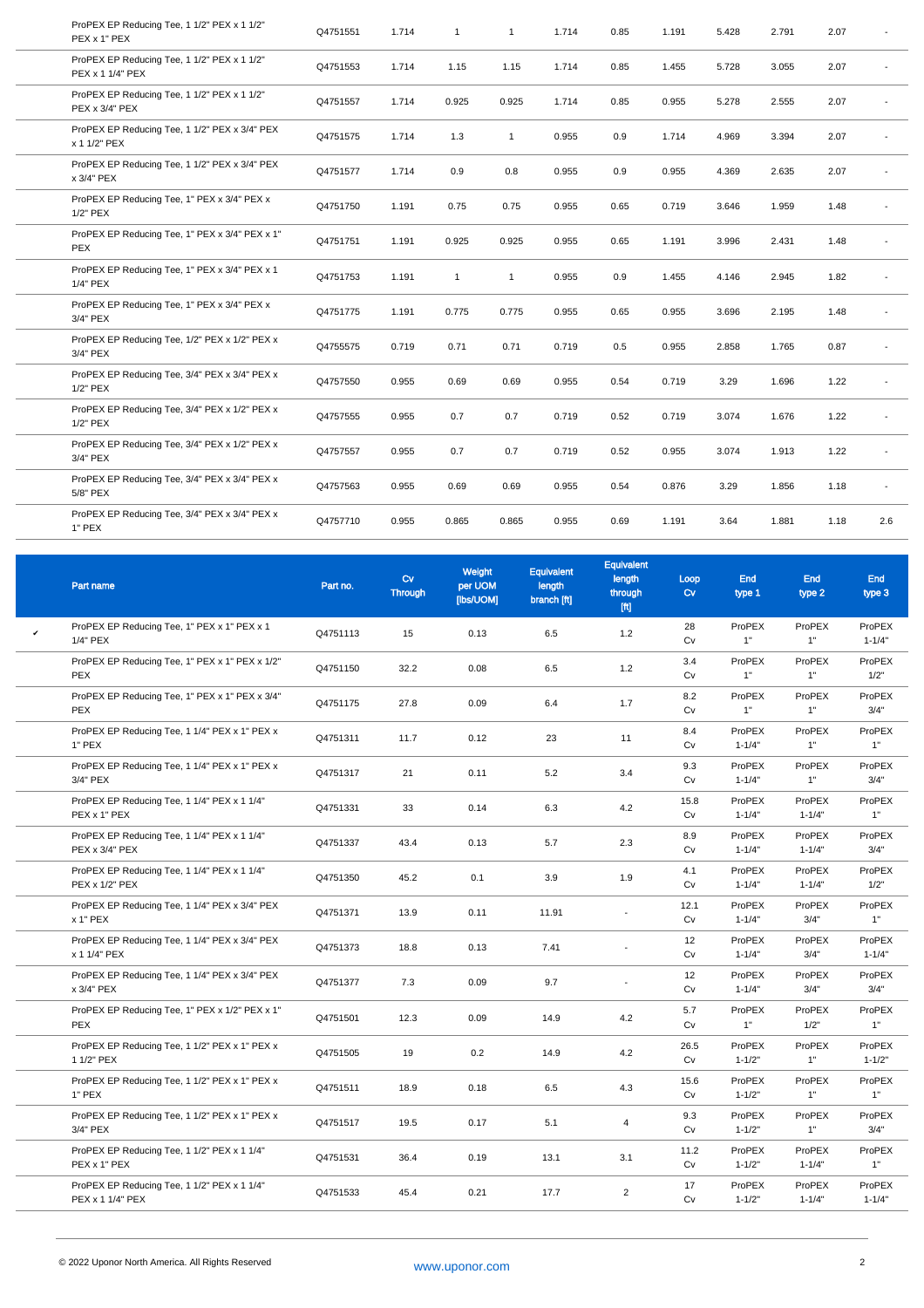| ProPEX EP Reducing Tee, 1 1/2" PEX x 1 1/2"<br>PEX x 1" PEX     | Q4751551 | 1.714 | $\mathbf{1}$ | $\overline{1}$ | 1.714 | 0.85 | 1.191 | 5.428 | 2.791 | 2.07 |     |
|-----------------------------------------------------------------|----------|-------|--------------|----------------|-------|------|-------|-------|-------|------|-----|
| ProPEX EP Reducing Tee, 1 1/2" PEX x 1 1/2"<br>PEX x 1 1/4" PEX | Q4751553 | 1.714 | 1.15         | 1.15           | 1.714 | 0.85 | 1.455 | 5.728 | 3.055 | 2.07 |     |
| ProPEX EP Reducing Tee, 1 1/2" PEX x 1 1/2"<br>PEX x 3/4" PEX   | Q4751557 | 1.714 | 0.925        | 0.925          | 1.714 | 0.85 | 0.955 | 5.278 | 2.555 | 2.07 |     |
| ProPEX EP Reducing Tee, 1 1/2" PEX x 3/4" PEX<br>x 1 1/2" PEX   | Q4751575 | 1.714 | 1.3          | $\mathbf{1}$   | 0.955 | 0.9  | 1.714 | 4.969 | 3.394 | 2.07 |     |
| ProPEX EP Reducing Tee, 1 1/2" PEX x 3/4" PEX<br>x 3/4" PEX     | Q4751577 | 1.714 | 0.9          | 0.8            | 0.955 | 0.9  | 0.955 | 4.369 | 2.635 | 2.07 |     |
| ProPEX EP Reducing Tee, 1" PEX x 3/4" PEX x<br>1/2" PEX         | Q4751750 | 1.191 | 0.75         | 0.75           | 0.955 | 0.65 | 0.719 | 3.646 | 1.959 | 1.48 |     |
| ProPEX EP Reducing Tee, 1" PEX x 3/4" PEX x 1"<br><b>PEX</b>    | Q4751751 | 1.191 | 0.925        | 0.925          | 0.955 | 0.65 | 1.191 | 3.996 | 2.431 | 1.48 |     |
| ProPEX EP Reducing Tee, 1" PEX x 3/4" PEX x 1<br>1/4" PEX       | Q4751753 | 1.191 | $\mathbf{1}$ | $\overline{1}$ | 0.955 | 0.9  | 1.455 | 4.146 | 2.945 | 1.82 |     |
| ProPEX EP Reducing Tee, 1" PEX x 3/4" PEX x<br>3/4" PEX         | Q4751775 | 1.191 | 0.775        | 0.775          | 0.955 | 0.65 | 0.955 | 3.696 | 2.195 | 1.48 |     |
| ProPEX EP Reducing Tee, 1/2" PEX x 1/2" PEX x<br>3/4" PEX       | Q4755575 | 0.719 | 0.71         | 0.71           | 0.719 | 0.5  | 0.955 | 2.858 | 1.765 | 0.87 |     |
| ProPEX EP Reducing Tee, 3/4" PEX x 3/4" PEX x<br>1/2" PEX       | Q4757550 | 0.955 | 0.69         | 0.69           | 0.955 | 0.54 | 0.719 | 3.29  | 1.696 | 1.22 |     |
| ProPEX EP Reducing Tee, 3/4" PEX x 1/2" PEX x<br>1/2" PEX       | Q4757555 | 0.955 | 0.7          | 0.7            | 0.719 | 0.52 | 0.719 | 3.074 | 1.676 | 1.22 |     |
| ProPEX EP Reducing Tee, 3/4" PEX x 1/2" PEX x<br>3/4" PEX       | Q4757557 | 0.955 | 0.7          | 0.7            | 0.719 | 0.52 | 0.955 | 3.074 | 1.913 | 1.22 |     |
| ProPEX EP Reducing Tee, 3/4" PEX x 3/4" PEX x<br>5/8" PEX       | Q4757563 | 0.955 | 0.69         | 0.69           | 0.955 | 0.54 | 0.876 | 3.29  | 1.856 | 1.18 | ٠   |
| ProPEX EP Reducing Tee, 3/4" PEX x 3/4" PEX x<br>1" PEX         | Q4757710 | 0.955 | 0.865        | 0.865          | 0.955 | 0.69 | 1.191 | 3.64  | 1.881 | 1.18 | 2.6 |
|                                                                 |          |       |              |                |       |      |       |       |       |      |     |

|              | Part name                                                       | Part no. | $C_V$<br><b>Through</b> | Weight<br>per UOM<br>[lbs/UOM] | Equivalent<br>length<br>branch [ft] | Equivalent<br>length<br>through<br>[ft] | Loop<br>$C_V$ | <b>End</b><br>type 1 | <b>End</b><br>type 2 | <b>End</b><br>type 3 |
|--------------|-----------------------------------------------------------------|----------|-------------------------|--------------------------------|-------------------------------------|-----------------------------------------|---------------|----------------------|----------------------|----------------------|
| $\checkmark$ | ProPEX EP Reducing Tee, 1" PEX x 1" PEX x 1<br>1/4" PEX         | Q4751113 | 15                      | 0.13                           | 6.5                                 | 1.2                                     | 28<br>Cv      | ProPEX<br>1"         | ProPEX<br>1"         | ProPEX<br>$1 - 1/4"$ |
|              | ProPEX EP Reducing Tee, 1" PEX x 1" PEX x 1/2"<br><b>PEX</b>    | Q4751150 | 32.2                    | 0.08                           | 6.5                                 | 1.2                                     | 3.4<br>Cv     | ProPEX<br>1"         | ProPEX<br>1"         | ProPEX<br>1/2"       |
|              | ProPEX EP Reducing Tee, 1" PEX x 1" PEX x 3/4"<br><b>PEX</b>    | Q4751175 | 27.8                    | 0.09                           | 6.4                                 | 1.7                                     | 8.2<br>Cv     | ProPEX<br>1"         | ProPEX<br>1"         | ProPEX<br>3/4"       |
|              | ProPEX EP Reducing Tee, 1 1/4" PEX x 1" PEX x<br>1" PEX         | Q4751311 | 11.7                    | 0.12                           | 23                                  | 11                                      | 8.4<br>Cv     | ProPEX<br>$1 - 1/4"$ | ProPEX<br>1"         | ProPEX<br>1"         |
|              | ProPEX EP Reducing Tee, 1 1/4" PEX x 1" PEX x<br>3/4" PEX       | Q4751317 | 21                      | 0.11                           | 5.2                                 | 3.4                                     | 9.3<br>Cv     | ProPEX<br>$1 - 1/4"$ | ProPEX<br>1"         | ProPEX<br>3/4"       |
|              | ProPEX EP Reducing Tee, 1 1/4" PEX x 1 1/4"<br>PEX x 1" PEX     | Q4751331 | 33                      | 0.14                           | 6.3                                 | 4.2                                     | 15.8<br>Cv    | ProPEX<br>$1 - 1/4"$ | ProPEX<br>$1 - 1/4"$ | ProPEX<br>1"         |
|              | ProPEX EP Reducing Tee, 1 1/4" PEX x 1 1/4"<br>PEX x 3/4" PEX   | Q4751337 | 43.4                    | 0.13                           | 5.7                                 | 2.3                                     | 8.9<br>Cv     | ProPEX<br>$1 - 1/4"$ | ProPEX<br>$1 - 1/4"$ | ProPEX<br>3/4"       |
|              | ProPEX EP Reducing Tee, 1 1/4" PEX x 1 1/4"<br>PEX x 1/2" PEX   | Q4751350 | 45.2                    | 0.1                            | 3.9                                 | 1.9                                     | 4.1<br>Cv     | ProPEX<br>$1 - 1/4"$ | ProPEX<br>$1 - 1/4"$ | ProPEX<br>1/2"       |
|              | ProPEX EP Reducing Tee, 1 1/4" PEX x 3/4" PEX<br>x 1" PEX       | Q4751371 | 13.9                    | 0.11                           | 11.91                               | $\overline{\phantom{a}}$                | 12.1<br>Cv    | ProPEX<br>$1 - 1/4"$ | ProPEX<br>3/4"       | ProPEX<br>1"         |
|              | ProPEX EP Reducing Tee, 1 1/4" PEX x 3/4" PEX<br>x 1 1/4" PEX   | Q4751373 | 18.8                    | 0.13                           | 7.41                                |                                         | 12<br>Cv      | ProPEX<br>$1 - 1/4"$ | ProPEX<br>3/4"       | ProPEX<br>$1 - 1/4"$ |
|              | ProPEX EP Reducing Tee, 1 1/4" PEX x 3/4" PEX<br>x 3/4" PEX     | Q4751377 | 7.3                     | 0.09                           | 9.7                                 |                                         | 12<br>Cv      | ProPEX<br>$1 - 1/4"$ | ProPEX<br>3/4"       | ProPEX<br>3/4"       |
|              | ProPEX EP Reducing Tee, 1" PEX x 1/2" PEX x 1"<br><b>PEX</b>    | Q4751501 | 12.3                    | 0.09                           | 14.9                                | 4.2                                     | 5.7<br>Cv     | ProPEX<br>1"         | ProPEX<br>1/2"       | ProPEX<br>1"         |
|              | ProPEX EP Reducing Tee, 1 1/2" PEX x 1" PEX x<br>1 1/2" PEX     | Q4751505 | 19                      | 0.2                            | 14.9                                | 4.2                                     | 26.5<br>Cv    | ProPEX<br>$1 - 1/2"$ | ProPEX<br>1"         | ProPEX<br>$1 - 1/2"$ |
|              | ProPEX EP Reducing Tee, 1 1/2" PEX x 1" PEX x<br>1" PEX         | Q4751511 | 18.9                    | 0.18                           | 6.5                                 | 4.3                                     | 15.6<br>Cv    | ProPEX<br>$1 - 1/2"$ | ProPEX<br>1"         | ProPEX<br>1"         |
|              | ProPEX EP Reducing Tee, 1 1/2" PEX x 1" PEX x<br>3/4" PEX       | Q4751517 | 19.5                    | 0.17                           | 5.1                                 | 4                                       | 9.3<br>Cv     | ProPEX<br>$1 - 1/2"$ | ProPEX<br>1"         | ProPEX<br>3/4"       |
|              | ProPEX EP Reducing Tee, 1 1/2" PEX x 1 1/4"<br>PEX x 1" PEX     | Q4751531 | 36.4                    | 0.19                           | 13.1                                | 3.1                                     | 11.2<br>Cv    | ProPEX<br>$1 - 1/2"$ | ProPEX<br>$1 - 1/4"$ | ProPEX<br>1"         |
|              | ProPEX EP Reducing Tee, 1 1/2" PEX x 1 1/4"<br>PEX x 1 1/4" PEX | Q4751533 | 45.4                    | 0.21                           | 17.7                                | $\overline{2}$                          | 17<br>Cv      | ProPEX<br>$1 - 1/2"$ | ProPEX<br>$1 - 1/4"$ | ProPEX<br>$1 - 1/4"$ |
|              |                                                                 |          |                         |                                |                                     |                                         |               |                      |                      |                      |